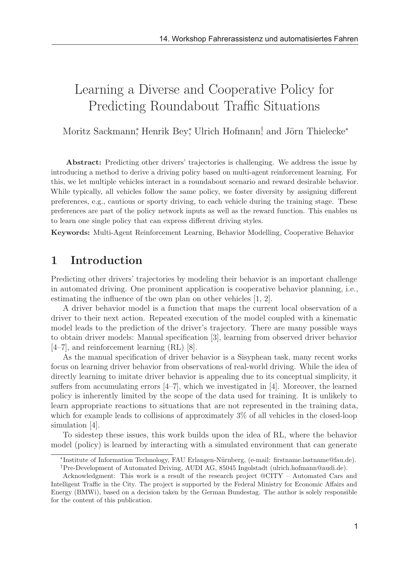# Learning a Diverse and Cooperative Policy for Predicting Roundabout Traffic Situations

Moritz Sackmann<sup>\*</sup>, Henrik Bey<sup>\*</sup>, Ulrich Hofmann<sup>†</sup>, and Jörn Thielecke<sup>\*</sup>

Abstract: Predicting other drivers' trajectories is challenging. We address the issue by introducing a method to derive a driving policy based on multi-agent reinforcement learning. For this, we let multiple vehicles interact in a roundabout scenario and reward desirable behavior. While typically, all vehicles follow the same policy, we foster diversity by assigning different preferences, e.g., cautious or sporty driving, to each vehicle during the training stage. These preferences are part of the policy network inputs as well as the reward function. This enables us to learn one single policy that can express different driving styles.

Keywords: Multi-Agent Reinforcement Learning, Behavior Modelling, Cooperative Behavior

## 1 Introduction

Predicting other drivers' trajectories by modeling their behavior is an important challenge in automated driving. One prominent application is cooperative behavior planning, i.e., estimating the influence of the own plan on other vehicles [1, 2].

A driver behavior model is a function that maps the current local observation of a driver to their next action. Repeated execution of the model coupled with a kinematic model leads to the prediction of the driver's trajectory. There are many possible ways to obtain driver models: Manual specification [3], learning from observed driver behavior [4–7], and reinforcement learning (RL) [8].

As the manual specification of driver behavior is a Sisyphean task, many recent works focus on learning driver behavior from observations of real-world driving. While the idea of directly learning to imitate driver behavior is appealing due to its conceptual simplicity, it suffers from accumulating errors [4–7], which we investigated in [4]. Moreover, the learned policy is inherently limited by the scope of the data used for training. It is unlikely to learn appropriate reactions to situations that are not represented in the training data, which for example leads to collisions of approximately  $3\%$  of all vehicles in the closed-loop simulation [4].

To sidestep these issues, this work builds upon the idea of RL, where the behavior model (policy) is learned by interacting with a simulated environment that can generate

<sup>∗</sup>Institute of Information Technology, FAU Erlangen-N¨urnberg, (e-mail: firstname.lastname@fau.de). †Pre-Development of Automated Driving, AUDI AG, 85045 Ingolstadt (ulrich.hofmann@audi.de).

Acknowledgment: This work is a result of the research project @CITY – Automated Cars and Intelligent Traffic in the City. The project is supported by the Federal Ministry for Economic Affairs and Energy (BMWi), based on a decision taken by the German Bundestag. The author is solely responsible for the content of this publication.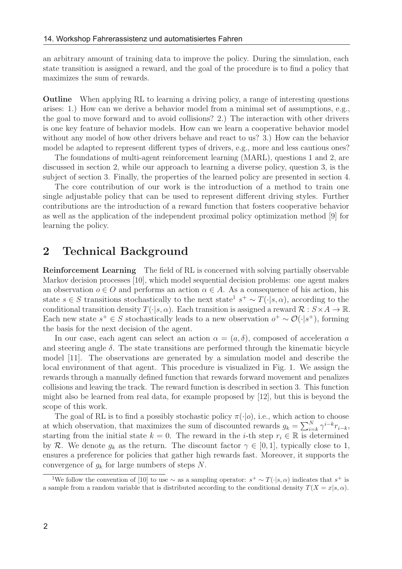an arbitrary amount of training data to improve the policy. During the simulation, each state transition is assigned a reward, and the goal of the procedure is to find a policy that maximizes the sum of rewards.

Outline When applying RL to learning a driving policy, a range of interesting questions arises: 1.) How can we derive a behavior model from a minimal set of assumptions, e.g., the goal to move forward and to avoid collisions? 2.) The interaction with other drivers is one key feature of behavior models. How can we learn a cooperative behavior model without any model of how other drivers behave and react to us? 3.) How can the behavior model be adapted to represent different types of drivers, e.g., more and less cautious ones?

The foundations of multi-agent reinforcement learning (MARL), questions 1 and 2, are discussed in section 2, while our approach to learning a diverse policy, question 3, is the subject of section 3. Finally, the properties of the learned policy are presented in section 4.

The core contribution of our work is the introduction of a method to train one single adjustable policy that can be used to represent different driving styles. Further contributions are the introduction of a reward function that fosters cooperative behavior as well as the application of the independent proximal policy optimization method [9] for learning the policy.

#### 2 Technical Background

Reinforcement Learning The field of RL is concerned with solving partially observable Markov decision processes [10], which model sequential decision problems: one agent makes an observation  $o \in O$  and performs an action  $\alpha \in A$ . As a consequence of his action, his state s ∈ S transitions stochastically to the next state<sup>1</sup> s<sup>+</sup> ~  $T(\cdot|s, \alpha)$ , according to the conditional transition density  $T(\cdot|s,\alpha)$ . Each transition is assigned a reward  $\mathcal{R}: S \times A \to \mathbb{R}$ . Each new state  $s^+ \in S$  stochastically leads to a new observation  $o^+ \sim \mathcal{O}(\cdot | s^+)$ , forming the basis for the next decision of the agent.

In our case, each agent can select an action  $\alpha = (a, \delta)$ , composed of acceleration a and steering angle  $\delta$ . The state transitions are performed through the kinematic bicycle model [11]. The observations are generated by a simulation model and describe the local environment of that agent. This procedure is visualized in Fig. 1. We assign the rewards through a manually defined function that rewards forward movement and penalizes collisions and leaving the track. The reward function is described in section 3. This function might also be learned from real data, for example proposed by [12], but this is beyond the scope of this work.

The goal of RL is to find a possibly stochastic policy  $\pi(\cdot|o)$ , i.e., which action to choose at which observation, that maximizes the sum of discounted rewards  $g_k = \sum_{i=k}^{N} \gamma^{i-k} r_{i-k}$ , starting from the initial state  $k = 0$ . The reward in the *i*-th step  $r_i \in \mathbb{R}$  is determined by R. We denote  $g_k$  as the return. The discount factor  $\gamma \in [0,1]$ , typically close to 1, ensures a preference for policies that gather high rewards fast. Moreover, it supports the convergence of  $q_k$  for large numbers of steps N.

<sup>&</sup>lt;sup>1</sup>We follow the convention of [10] to use ∼ as a sampling operator:  $s^+ \sim T(\cdot|s,\alpha)$  indicates that  $s^+$  is a sample from a random variable that is distributed according to the conditional density  $T(X = x|s, \alpha)$ .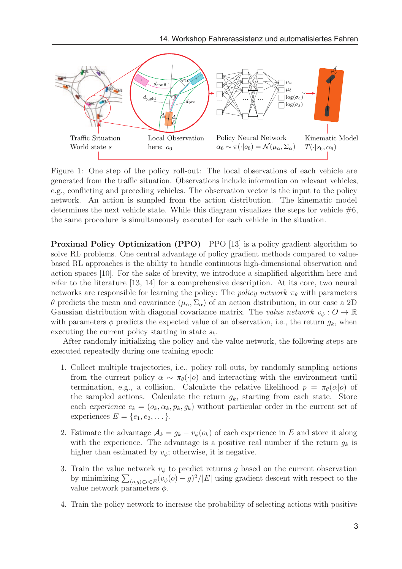

Figure 1: One step of the policy roll-out: The local observations of each vehicle are generated from the traffic situation. Observations include information on relevant vehicles, e.g., conflicting and preceding vehicles. The observation vector is the input to the policy network. An action is sampled from the action distribution. The kinematic model determines the next vehicle state. While this diagram visualizes the steps for vehicle  $#6$ , the same procedure is simultaneously executed for each vehicle in the situation.

Proximal Policy Optimization (PPO) PPO [13] is a policy gradient algorithm to solve RL problems. One central advantage of policy gradient methods compared to valuebased RL approaches is the ability to handle continuous high-dimensional observation and action spaces [10]. For the sake of brevity, we introduce a simplified algorithm here and refer to the literature [13, 14] for a comprehensive description. At its core, two neural networks are responsible for learning the policy: The policy network  $\pi_{\theta}$  with parameters θ predicts the mean and covariance (µα, Σα) of an action distribution, in our case a 2D Gaussian distribution with diagonal covariance matrix. The value network  $v_{\phi}: O \to \mathbb{R}$ with parameters  $\phi$  predicts the expected value of an observation, i.e., the return  $g_k$ , when executing the current policy starting in state  $s_k$ .

After randomly initializing the policy and the value network, the following steps are executed repeatedly during one training epoch:

- 1. Collect multiple trajectories, i.e., policy roll-outs, by randomly sampling actions from the current policy  $\alpha \sim \pi_{\theta}(\cdot|o)$  and interacting with the environment until termination, e.g., a collision. Calculate the relative likelihood  $p = \pi_{\theta}(\alpha|o)$  of the sampled actions. Calculate the return  $q_k$ , starting from each state. Store each experience  $e_k = (o_k, \alpha_k, p_k, g_k)$  without particular order in the current set of experiences  $E = \{e_1, e_2, \dots\}.$
- 2. Estimate the advantage  $A_k = g_k v_\phi(o_k)$  of each experience in E and store it along with the experience. The advantage is a positive real number if the return  $g_k$  is higher than estimated by  $v_{\phi}$ ; otherwise, it is negative.
- 3. Train the value network  $v_{\phi}$  to predict returns q based on the current observation by minimizing  $\sum_{(o,g)\subset e\in E} (v_{\phi}(o)-g)^2/|E|$  using gradient descent with respect to the value network parameters  $\phi$ .
- 4. Train the policy network to increase the probability of selecting actions with positive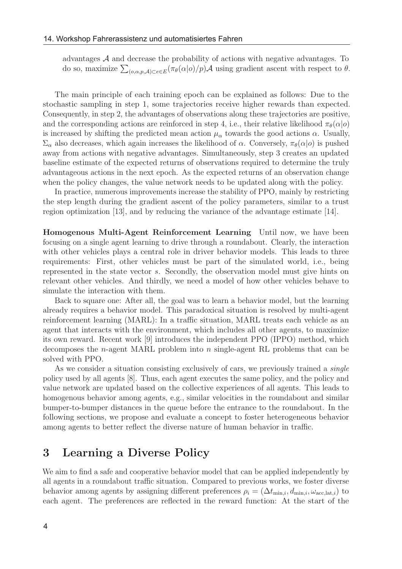advantages A and decrease the probability of actions with negative advantages. To do so, maximize  $\sum_{(o,\alpha,p,\mathcal{A})\subset e\in E} (\pi_{\theta}(\alpha|o)/p)\mathcal{A}$  using gradient ascent with respect to  $\theta$ .

The main principle of each training epoch can be explained as follows: Due to the stochastic sampling in step 1, some trajectories receive higher rewards than expected. Consequently, in step 2, the advantages of observations along these trajectories are positive, and the corresponding actions are reinforced in step 4, i.e., their relative likelihood  $\pi_{\theta}(\alpha|o)$ is increased by shifting the predicted mean action  $\mu_{\alpha}$  towards the good actions  $\alpha$ . Usually,  $\Sigma_\alpha$  also decreases, which again increases the likelihood of  $\alpha$ . Conversely,  $\pi_\theta(\alpha|o)$  is pushed away from actions with negative advantages. Simultaneously, step 3 creates an updated baseline estimate of the expected returns of observations required to determine the truly advantageous actions in the next epoch. As the expected returns of an observation change when the policy changes, the value network needs to be updated along with the policy.

In practice, numerous improvements increase the stability of PPO, mainly by restricting the step length during the gradient ascent of the policy parameters, similar to a trust region optimization [13], and by reducing the variance of the advantage estimate [14].

Homogenous Multi-Agent Reinforcement Learning Until now, we have been focusing on a single agent learning to drive through a roundabout. Clearly, the interaction with other vehicles plays a central role in driver behavior models. This leads to three requirements: First, other vehicles must be part of the simulated world, i.e., being represented in the state vector s. Secondly, the observation model must give hints on relevant other vehicles. And thirdly, we need a model of how other vehicles behave to simulate the interaction with them.

Back to square one: After all, the goal was to learn a behavior model, but the learning already requires a behavior model. This paradoxical situation is resolved by multi-agent reinforcement learning (MARL): In a traffic situation, MARL treats each vehicle as an agent that interacts with the environment, which includes all other agents, to maximize its own reward. Recent work [9] introduces the independent PPO (IPPO) method, which decomposes the *n*-agent MARL problem into *n* single-agent RL problems that can be solved with PPO.

As we consider a situation consisting exclusively of cars, we previously trained a *single* policy used by all agents [8]. Thus, each agent executes the same policy, and the policy and value network are updated based on the collective experiences of all agents. This leads to homogenous behavior among agents, e.g., similar velocities in the roundabout and similar bumper-to-bumper distances in the queue before the entrance to the roundabout. In the following sections, we propose and evaluate a concept to foster heterogeneous behavior among agents to better reflect the diverse nature of human behavior in traffic.

## 3 Learning a Diverse Policy

We aim to find a safe and cooperative behavior model that can be applied independently by all agents in a roundabout traffic situation. Compared to previous works, we foster diverse behavior among agents by assigning different preferences  $\rho_i = (\Delta t_{\min,i}, d_{\min,i}, \omega_{\text{acc},\text{lat},i})$  to each agent. The preferences are reflected in the reward function: At the start of the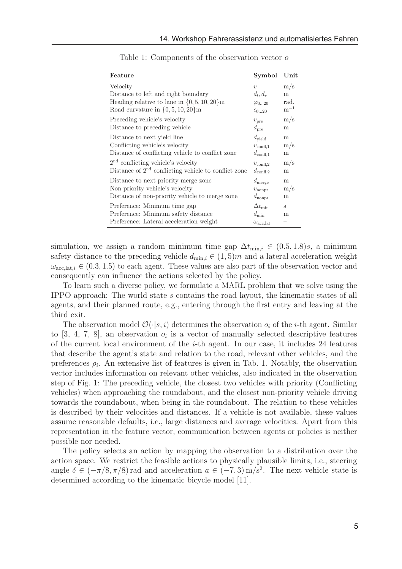| Feature                                                                                                        | Symbol                                                        | Unit      |
|----------------------------------------------------------------------------------------------------------------|---------------------------------------------------------------|-----------|
| Velocity                                                                                                       | $\overline{\mathcal{U}}$                                      | $\rm m/s$ |
| Distance to left and right boundary                                                                            | $d_l, d_r$                                                    | m         |
| Heading relative to lane in $\{0, 5, 10, 20\}$ m                                                               | $\varphi_{020}$                                               | rad.      |
| Road curvature in $\{0, 5, 10, 20\}$ m                                                                         | $c_{020}$                                                     | $m^{-1}$  |
| Preceding vehicle's velocity                                                                                   | $v_{\rm pre}$                                                 | $\rm m/s$ |
| Distance to preceding vehicle                                                                                  | $d_{pre}$                                                     | m         |
| Distance to next yield line                                                                                    | $d_{\rm yield}$                                               | m         |
| Conflicting vehicle's velocity                                                                                 | $v_{\rm confl.1}$                                             | $\rm m/s$ |
| Distance of conflicting vehicle to conflict zone                                                               | $d_{\rm confl,1}$                                             | m         |
| $2nd$ conflicting vehicle's velocity                                                                           | $v_{\rm conf1,2}$                                             | $\rm m/s$ |
| Distance of $2nd$ conflicting vehicle to conflict zone                                                         | $d_{\rm confl,2}$                                             | m         |
| Distance to next priority merge zone                                                                           | $d_{\rm merge}$                                               | m         |
| Non-priority vehicle's velocity                                                                                | $v_{\text{nonpr}}$                                            | $\rm m/s$ |
| Distance of non-priority vehicle to merge zone                                                                 | $d_{\rm nonpr}$                                               | m         |
| Preference: Minimum time gap<br>Preference: Minimum safety distance<br>Preference: Lateral acceleration weight | $\Delta t_{\rm min}$<br>$d_{\min}$<br>$\omega_{\rm acc, lat}$ | s<br>m    |

Table 1: Components of the observation vector o

simulation, we assign a random minimum time gap  $\Delta t_{\text{min},i} \in (0.5, 1.8)$ s, a minimum safety distance to the preceding vehicle  $d_{\min,i} \in (1,5)$  and a lateral acceleration weight  $\omega_{\text{acc},\text{lat},i} \in (0.3, 1.5)$  to each agent. These values are also part of the observation vector and consequently can influence the actions selected by the policy.

To learn such a diverse policy, we formulate a MARL problem that we solve using the IPPO approach: The world state s contains the road layout, the kinematic states of all agents, and their planned route, e.g., entering through the first entry and leaving at the third exit.

The observation model  $\mathcal{O}(\cdot|s,i)$  determines the observation  $o_i$  of the *i*-th agent. Similar to [3, 4, 7, 8], an observation  $o_i$  is a vector of manually selected descriptive features of the current local environment of the  $i$ -th agent. In our case, it includes 24 features that describe the agent's state and relation to the road, relevant other vehicles, and the preferences  $\rho_i$ . An extensive list of features is given in Tab. 1. Notably, the observation vector includes information on relevant other vehicles, also indicated in the observation step of Fig. 1: The preceding vehicle, the closest two vehicles with priority (Conflicting vehicles) when approaching the roundabout, and the closest non-priority vehicle driving towards the roundabout, when being in the roundabout. The relation to these vehicles is described by their velocities and distances. If a vehicle is not available, these values assume reasonable defaults, i.e., large distances and average velocities. Apart from this representation in the feature vector, communication between agents or policies is neither possible nor needed.

The policy selects an action by mapping the observation to a distribution over the action space. We restrict the feasible actions to physically plausible limits, i.e., steering angle  $\delta \in (-\pi/8, \pi/8)$  rad and acceleration  $a \in (-7, 3)$  m/s<sup>2</sup>. The next vehicle state is determined according to the kinematic bicycle model [11].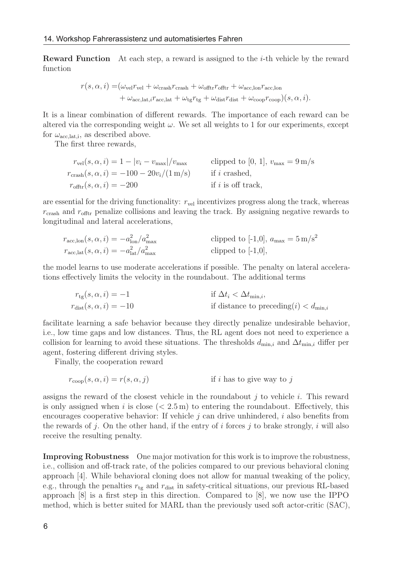**Reward Function** At each step, a reward is assigned to the  $i$ -th vehicle by the reward function

$$
r(s, \alpha, i) = (\omega_{\text{vel}} r_{\text{vel}} + \omega_{\text{crash}} r_{\text{crash}} + \omega_{\text{offtr}} r_{\text{offtr}} + \omega_{\text{acc,lon}} r_{\text{acc,lon}}
$$

$$
+ \omega_{\text{acc,lat}, i} r_{\text{acc,lat}} + \omega_{\text{tg}} r_{\text{tg}} + \omega_{\text{dist}} r_{\text{dist}} + \omega_{\text{coop}} r_{\text{coop}}(s, \alpha, i).
$$

It is a linear combination of different rewards. The importance of each reward can be altered via the corresponding weight  $\omega$ . We set all weights to 1 for our experiments, except for  $\omega_{\text{acc},\text{lat},i}$ , as described above.

The first three rewards,

$$
r_{\text{vel}}(s, \alpha, i) = 1 - |v_i - v_{\text{max}}|/v_{\text{max}}
$$
clipped to [0, 1],  $v_{\text{max}} = 9 \text{ m/s}$   
\n
$$
r_{\text{crash}}(s, \alpha, i) = -100 - 20v_i/(1 \text{ m/s})
$$
 if *i* crashed,  
\n
$$
r_{\text{offtr}}(s, \alpha, i) = -200
$$
 if *i* is off track,

are essential for the driving functionality:  $r_{vel}$  incentivizes progress along the track, whereas  $r_{\text{crash}}$  and  $r_{\text{offtr}}$  penalize collisions and leaving the track. By assigning negative rewards to longitudinal and lateral accelerations,

$$
r_{\text{acc,lon}}(s, \alpha, i) = -a_{\text{lon}}^2 / a_{\text{max}}^2
$$
clipped to [-1,0],  $a_{\text{max}} = 5 \text{ m/s}^2$   
\n
$$
r_{\text{acc,lat}}(s, \alpha, i) = -a_{\text{lat}}^2 / a_{\text{max}}^2
$$
clipped to [-1,0],

the model learns to use moderate accelerations if possible. The penalty on lateral accelerations effectively limits the velocity in the roundabout. The additional terms

$$
r_{\text{tg}}(s, \alpha, i) = -1
$$
 if  $\Delta t_i < \Delta t_{\min,i}$ ,  
\n
$$
r_{\text{dist}}(s, \alpha, i) = -10
$$
 if distance to preceding(i)  $\langle d_{\min,i} \rangle$ 

facilitate learning a safe behavior because they directly penalize undesirable behavior, i.e., low time gaps and low distances. Thus, the RL agent does not need to experience a collision for learning to avoid these situations. The thresholds  $d_{\min,i}$  and  $\Delta t_{\min,i}$  differ per agent, fostering different driving styles.

Finally, the cooperation reward

$$
r_{\rm coop}(s,\alpha,i)=r(s,\alpha,j) \qquad \qquad \text{if } i \text{ has to give way to } j
$$

assigns the reward of the closest vehicle in the roundabout  $j$  to vehicle i. This reward is only assigned when i is close  $(< 2.5 \,\mathrm{m})$  to entering the roundabout. Effectively, this encourages cooperative behavior: If vehicle  $j$  can drive unhindered,  $i$  also benefits from the rewards of j. On the other hand, if the entry of i forces j to brake strongly, i will also receive the resulting penalty.

Improving Robustness One major motivation for this work is to improve the robustness, i.e., collision and off-track rate, of the policies compared to our previous behavioral cloning approach [4]. While behavioral cloning does not allow for manual tweaking of the policy, e.g., through the penalties  $r_{tg}$  and  $r_{dist}$  in safety-critical situations, our previous RL-based approach [8] is a first step in this direction. Compared to [8], we now use the IPPO method, which is better suited for MARL than the previously used soft actor-critic (SAC),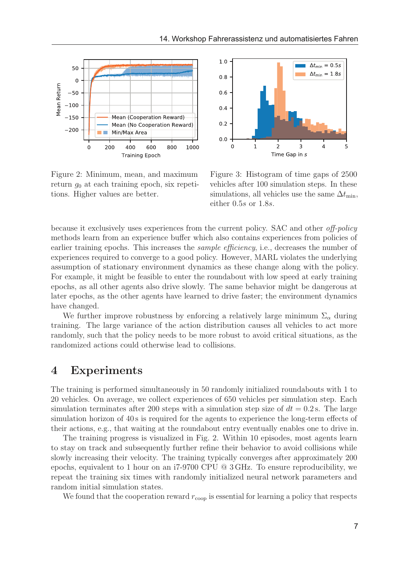



Figure 2: Minimum, mean, and maximum return  $q_0$  at each training epoch, six repetitions. Higher values are better.

Figure 3: Histogram of time gaps of 2500 vehicles after 100 simulation steps. In these simulations, all vehicles use the same  $\Delta t_{\min}$ . either 0.5s or 1.8s.

because it exclusively uses experiences from the current policy. SAC and other off-policy methods learn from an experience buffer which also contains experiences from policies of earlier training epochs. This increases the *sample efficiency*, i.e., decreases the number of experiences required to converge to a good policy. However, MARL violates the underlying assumption of stationary environment dynamics as these change along with the policy. For example, it might be feasible to enter the roundabout with low speed at early training epochs, as all other agents also drive slowly. The same behavior might be dangerous at later epochs, as the other agents have learned to drive faster; the environment dynamics have changed.

We further improve robustness by enforcing a relatively large minimum  $\Sigma_{\alpha}$  during training. The large variance of the action distribution causes all vehicles to act more randomly, such that the policy needs to be more robust to avoid critical situations, as the randomized actions could otherwise lead to collisions.

# 4 Experiments

The training is performed simultaneously in 50 randomly initialized roundabouts with 1 to 20 vehicles. On average, we collect experiences of 650 vehicles per simulation step. Each simulation terminates after 200 steps with a simulation step size of  $dt = 0.2$  s. The large simulation horizon of 40 s is required for the agents to experience the long-term effects of their actions, e.g., that waiting at the roundabout entry eventually enables one to drive in.

The training progress is visualized in Fig. 2. Within 10 episodes, most agents learn to stay on track and subsequently further refine their behavior to avoid collisions while slowly increasing their velocity. The training typically converges after approximately 200 epochs, equivalent to 1 hour on an i7-9700 CPU @ 3 GHz. To ensure reproducibility, we repeat the training six times with randomly initialized neural network parameters and random initial simulation states.

We found that the cooperation reward  $r_{\rm coop}$  is essential for learning a policy that respects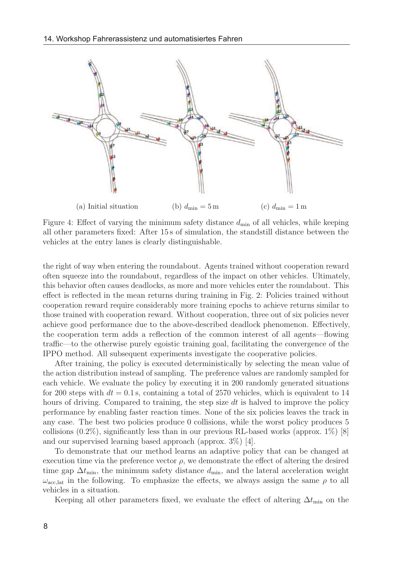

Figure 4: Effect of varying the minimum safety distance  $d_{\text{min}}$  of all vehicles, while keeping all other parameters fixed: After 15 s of simulation, the standstill distance between the vehicles at the entry lanes is clearly distinguishable.

the right of way when entering the roundabout. Agents trained without cooperation reward often squeeze into the roundabout, regardless of the impact on other vehicles. Ultimately, this behavior often causes deadlocks, as more and more vehicles enter the roundabout. This effect is reflected in the mean returns during training in Fig. 2: Policies trained without cooperation reward require considerably more training epochs to achieve returns similar to those trained with cooperation reward. Without cooperation, three out of six policies never achieve good performance due to the above-described deadlock phenomenon. Effectively, the cooperation term adds a reflection of the common interest of all agents—flowing traffic—to the otherwise purely egoistic training goal, facilitating the convergence of the IPPO method. All subsequent experiments investigate the cooperative policies.

After training, the policy is executed deterministically by selecting the mean value of the action distribution instead of sampling. The preference values are randomly sampled for each vehicle. We evaluate the policy by executing it in 200 randomly generated situations for 200 steps with  $dt = 0.1$  s, containing a total of 2570 vehicles, which is equivalent to 14 hours of driving. Compared to training, the step size dt is halved to improve the policy performance by enabling faster reaction times. None of the six policies leaves the track in any case. The best two policies produce 0 collisions, while the worst policy produces 5 collisions  $(0.2\%)$ , significantly less than in our previous RL-based works (approx. 1%) [8] and our supervised learning based approach (approx. 3%) [4].

To demonstrate that our method learns an adaptive policy that can be changed at execution time via the preference vector  $\rho$ , we demonstrate the effect of altering the desired time gap  $\Delta t_{\text{min}}$ , the minimum safety distance  $d_{\text{min}}$ , and the lateral acceleration weight  $\omega_{\text{acc},\text{lat}}$  in the following. To emphasize the effects, we always assign the same  $\rho$  to all vehicles in a situation.

Keeping all other parameters fixed, we evaluate the effect of altering  $\Delta t_{\text{min}}$  on the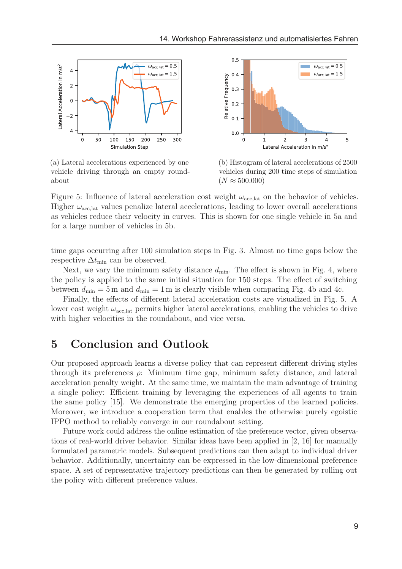

(a) Lateral accelerations experienced by one vehicle driving through an empty roundabout



(b) Histogram of lateral accelerations of 2500 vehicles during 200 time steps of simulation  $(N \approx 500.000)$ 

Figure 5: Influence of lateral acceleration cost weight  $\omega_{\text{acc,lat}}$  on the behavior of vehicles. Higher  $\omega_{\text{acc},\text{lat}}$  values penalize lateral accelerations, leading to lower overall accelerations as vehicles reduce their velocity in curves. This is shown for one single vehicle in 5a and for a large number of vehicles in 5b.

time gaps occurring after 100 simulation steps in Fig. 3. Almost no time gaps below the respective  $\Delta t_{\text{min}}$  can be observed.

Next, we vary the minimum safety distance  $d_{\min}$ . The effect is shown in Fig. 4, where the policy is applied to the same initial situation for 150 steps. The effect of switching between  $d_{\text{min}} = 5$  m and  $d_{\text{min}} = 1$  m is clearly visible when comparing Fig. 4b and 4c.

Finally, the effects of different lateral acceleration costs are visualized in Fig. 5. A lower cost weight  $\omega_{\text{acc},\text{lat}}$  permits higher lateral accelerations, enabling the vehicles to drive with higher velocities in the roundabout, and vice versa.

## 5 Conclusion and Outlook

Our proposed approach learns a diverse policy that can represent different driving styles through its preferences  $\rho$ : Minimum time gap, minimum safety distance, and lateral acceleration penalty weight. At the same time, we maintain the main advantage of training a single policy: Efficient training by leveraging the experiences of all agents to train the same policy [15]. We demonstrate the emerging properties of the learned policies. Moreover, we introduce a cooperation term that enables the otherwise purely egoistic IPPO method to reliably converge in our roundabout setting.

Future work could address the online estimation of the preference vector, given observations of real-world driver behavior. Similar ideas have been applied in [2, 16] for manually formulated parametric models. Subsequent predictions can then adapt to individual driver behavior. Additionally, uncertainty can be expressed in the low-dimensional preference space. A set of representative trajectory predictions can then be generated by rolling out the policy with different preference values.